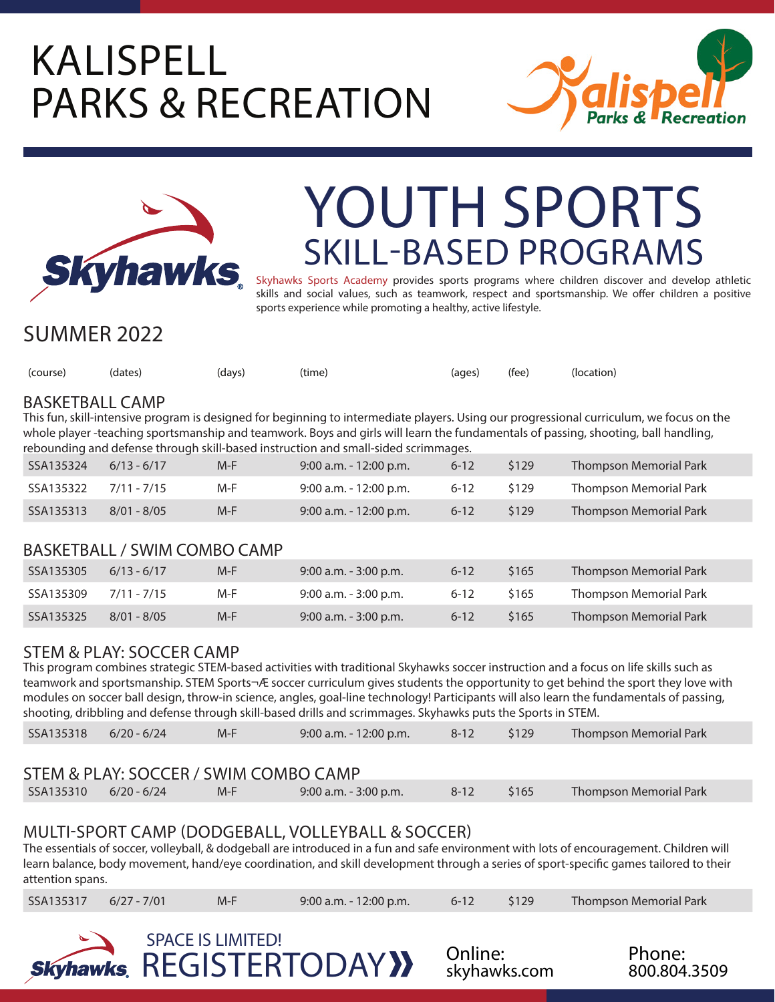## KALISPELL PARKS & RECREATION





# SKILL-BASED PROGRAMS YOUTH SPORTS

Skyhawks Sports Academy provides sports programs where children discover and develop athletic skills and social values, such as teamwork, respect and sportsmanship. We offer children a positive sports experience while promoting a healthy, active lifestyle.

### SUMMER 2022

| (course) (dates) | (days) | (time) | (ages) (fee) (location) |  |
|------------------|--------|--------|-------------------------|--|
|                  |        |        |                         |  |

#### BASKETBALL CAMP

This fun, skill-intensive program is designed for beginning to intermediate players. Using our progressional curriculum, we focus on the whole player -teaching sportsmanship and teamwork. Boys and girls will learn the fundamentals of passing, shooting, ball handling, rebounding and defense through skill-based instruction and small-sided scrimmages.

| SSA135324             | $6/13 - 6/17$ | $M-F$ | $9:00$ a.m. - 12:00 p.m. | $6 - 12$ | \$129 | <b>Thompson Memorial Park</b> |
|-----------------------|---------------|-------|--------------------------|----------|-------|-------------------------------|
| SSA135322 7/11 - 7/15 |               | M-F   | 9:00 a.m. - 12:00 p.m.   | $6 - 12$ | \$129 | Thompson Memorial Park        |
| SSA135313             | $8/01 - 8/05$ | M-F.  | $9:00$ a.m. - 12:00 p.m. | $6 - 12$ | \$129 | Thompson Memorial Park        |

#### BASKETBALL / SWIM COMBO CAMP

| SSA135305 | $6/13 - 6/17$ | $M-F$ | $9:00$ a.m. - 3:00 p.m. | $6 - 12$ | \$165 | Thompson Memorial Park |
|-----------|---------------|-------|-------------------------|----------|-------|------------------------|
| SSA135309 | 7/11 - 7/15   | M-F   | 9:00 a.m. - 3:00 p.m.   | $6 - 12$ | \$165 | Thompson Memorial Park |
| SSA135325 | $8/01 - 8/05$ | $M-F$ | $9:00$ a.m. - 3:00 p.m. | $6 - 12$ | \$165 | Thompson Memorial Park |

### STEM & PLAY: SOCCER CAMP

This program combines strategic STEM-based activities with traditional Skyhawks soccer instruction and a focus on life skills such as teamwork and sportsmanship. STEM Sports® soccer curriculum gives students the opportunity to get behind the sport they love with modules on soccer ball design, throw-in science, angles, goal-line technology! Participants will also learn the fundamentals of passing, shooting, dribbling and defense through skill-based drills and scrimmages. Skyhawks puts the Sports in STEM.

| SSA135318 6/20 - 6/24 |  | $M-F$ | $9:00$ a.m. - 12:00 p.m. | 8-12 \$129 |  | Thompson Memorial Park |
|-----------------------|--|-------|--------------------------|------------|--|------------------------|
|-----------------------|--|-------|--------------------------|------------|--|------------------------|

#### STEM & PLAY: SOCCER / SWIM COMBO CAMP

|  | SSA135310 6/20 - 6/24 | M-F | $9:00$ a.m. $-3:00$ p.m. | $8 - 12$ | \$165 | <b>Thompson Memorial Park</b> |  |
|--|-----------------------|-----|--------------------------|----------|-------|-------------------------------|--|
|--|-----------------------|-----|--------------------------|----------|-------|-------------------------------|--|

#### MULTI-SPORT CAMP (DODGEBALL, VOLLEYBALL & SOCCER)

The essentials of soccer, volleyball, & dodgeball are introduced in a fun and safe environment with lots of encouragement. Children will learn balance, body movement, hand/eye coordination, and skill development through a series of sport-specific games tailored to their attention spans.

|  | SSA135317 6/27 - 7/01 | $M-F$ | $9:00$ a.m. - 12:00 p.m. | $6-12$ \$129 |  | Thompson Memorial Park |  |
|--|-----------------------|-------|--------------------------|--------------|--|------------------------|--|
|--|-----------------------|-------|--------------------------|--------------|--|------------------------|--|





800.804.3509 Phone: